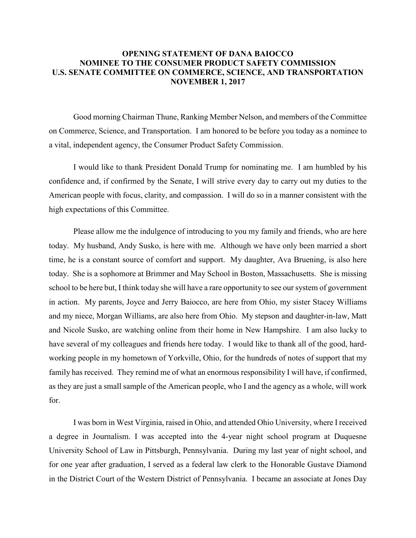## **OPENING STATEMENT OF DANA BAIOCCO NOMINEE TO THE CONSUMER PRODUCT SAFETY COMMISSION U.S. SENATE COMMITTEE ON COMMERCE, SCIENCE, AND TRANSPORTATION NOVEMBER 1, 2017**

Good morning Chairman Thune, Ranking Member Nelson, and members of the Committee on Commerce, Science, and Transportation. I am honored to be before you today as a nominee to a vital, independent agency, the Consumer Product Safety Commission.

I would like to thank President Donald Trump for nominating me. I am humbled by his confidence and, if confirmed by the Senate, I will strive every day to carry out my duties to the American people with focus, clarity, and compassion. I will do so in a manner consistent with the high expectations of this Committee.

Please allow me the indulgence of introducing to you my family and friends, who are here today. My husband, Andy Susko, is here with me. Although we have only been married a short time, he is a constant source of comfort and support. My daughter, Ava Bruening, is also here today. She is a sophomore at Brimmer and May School in Boston, Massachusetts. She is missing school to be here but, I think today she will have a rare opportunity to see our system of government in action. My parents, Joyce and Jerry Baiocco, are here from Ohio, my sister Stacey Williams and my niece, Morgan Williams, are also here from Ohio. My stepson and daughter-in-law, Matt and Nicole Susko, are watching online from their home in New Hampshire. I am also lucky to have several of my colleagues and friends here today. I would like to thank all of the good, hardworking people in my hometown of Yorkville, Ohio, for the hundreds of notes of support that my family has received. They remind me of what an enormous responsibility I will have, if confirmed, as they are just a small sample of the American people, who I and the agency as a whole, will work for.

I was born in West Virginia, raised in Ohio, and attended Ohio University, where I received a degree in Journalism. I was accepted into the 4-year night school program at Duquesne University School of Law in Pittsburgh, Pennsylvania. During my last year of night school, and for one year after graduation, I served as a federal law clerk to the Honorable Gustave Diamond in the District Court of the Western District of Pennsylvania. I became an associate at Jones Day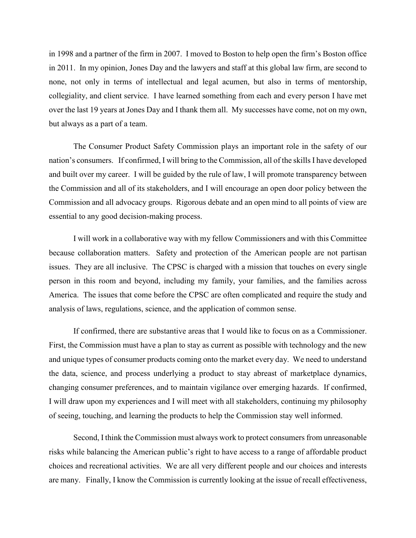in 1998 and a partner of the firm in 2007. I moved to Boston to help open the firm's Boston office in 2011. In my opinion, Jones Day and the lawyers and staff at this global law firm, are second to none, not only in terms of intellectual and legal acumen, but also in terms of mentorship, collegiality, and client service. I have learned something from each and every person I have met over the last 19 years at Jones Day and I thank them all. My successes have come, not on my own, but always as a part of a team.

The Consumer Product Safety Commission plays an important role in the safety of our nation's consumers. If confirmed, I will bring to the Commission, all of the skills I have developed and built over my career. I will be guided by the rule of law, I will promote transparency between the Commission and all of its stakeholders, and I will encourage an open door policy between the Commission and all advocacy groups. Rigorous debate and an open mind to all points of view are essential to any good decision-making process.

I will work in a collaborative way with my fellow Commissioners and with this Committee because collaboration matters. Safety and protection of the American people are not partisan issues. They are all inclusive. The CPSC is charged with a mission that touches on every single person in this room and beyond, including my family, your families, and the families across America. The issues that come before the CPSC are often complicated and require the study and analysis of laws, regulations, science, and the application of common sense.

If confirmed, there are substantive areas that I would like to focus on as a Commissioner. First, the Commission must have a plan to stay as current as possible with technology and the new and unique types of consumer products coming onto the market every day. We need to understand the data, science, and process underlying a product to stay abreast of marketplace dynamics, changing consumer preferences, and to maintain vigilance over emerging hazards. If confirmed, I will draw upon my experiences and I will meet with all stakeholders, continuing my philosophy of seeing, touching, and learning the products to help the Commission stay well informed.

Second, I think the Commission must always work to protect consumers from unreasonable risks while balancing the American public's right to have access to a range of affordable product choices and recreational activities. We are all very different people and our choices and interests are many. Finally, I know the Commission is currently looking at the issue of recall effectiveness,